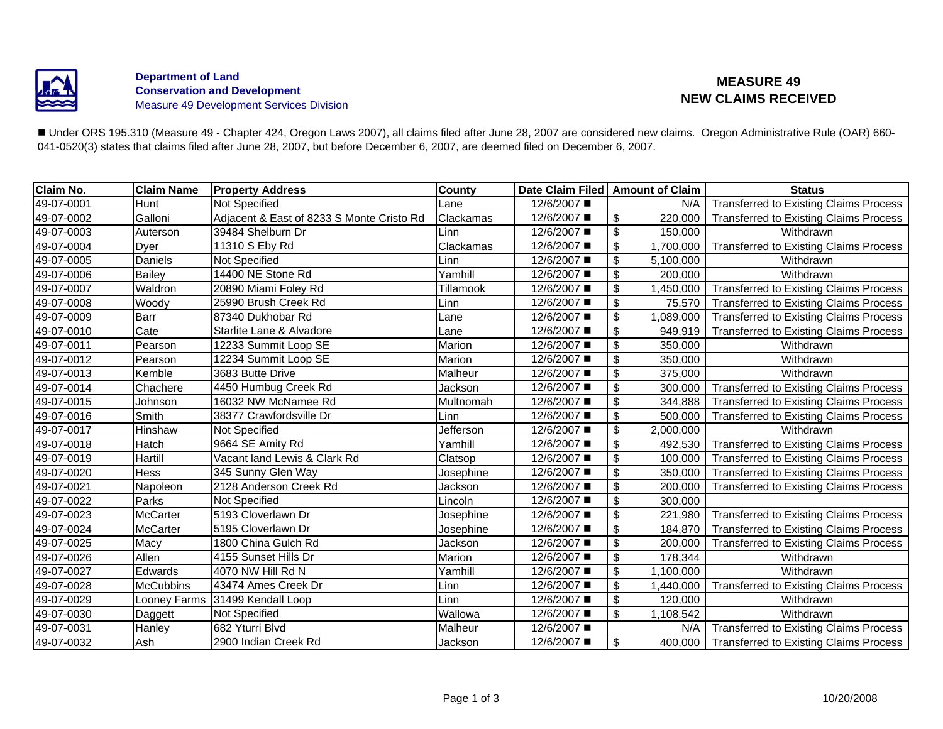

### **Department of Land Conservation and Development** Measure 49 Development Services Division

# **MEASURE 49 NEW CLAIMS RECEIVED**

■ Under ORS 195.310 (Measure 49 - Chapter 424, Oregon Laws 2007), all claims filed after June 28, 2007 are considered new claims. Oregon Administrative Rule (OAR) 660-041-0520(3) states that claims filed after June 28, 2007, but before December 6, 2007, are deemed filed on December 6, 2007.

| Claim No.  | <b>Claim Name</b> | <b>Property Address</b>                   | <b>County</b> | Date Claim Filed   Amount of Claim |                           |           | <b>Status</b>                                 |
|------------|-------------------|-------------------------------------------|---------------|------------------------------------|---------------------------|-----------|-----------------------------------------------|
| 49-07-0001 | Hunt              | Not Specified                             | Lane          | 12/6/2007 ■                        |                           | N/A       | <b>Transferred to Existing Claims Process</b> |
| 49-07-0002 | Galloni           | Adjacent & East of 8233 S Monte Cristo Rd | Clackamas     | 12/6/2007 ■                        | \$                        | 220,000   | <b>Transferred to Existing Claims Process</b> |
| 49-07-0003 | Auterson          | 39484 Shelburn Dr                         | Linn          | 12/6/2007 ■                        | \$                        | 150,000   | Withdrawn                                     |
| 49-07-0004 | Dyer              | 11310 S Eby Rd                            | Clackamas     | 12/6/2007 ■                        | $\boldsymbol{\mathsf{S}}$ | 1,700,000 | <b>Transferred to Existing Claims Process</b> |
| 49-07-0005 | Daniels           | Not Specified                             | Linn          | 12/6/2007 ■                        | $\boldsymbol{\theta}$     | 5,100,000 | Withdrawn                                     |
| 49-07-0006 | <b>Bailey</b>     | 14400 NE Stone Rd                         | Yamhill       | 12/6/2007 ■                        | $\boldsymbol{\mathsf{S}}$ | 200,000   | Withdrawn                                     |
| 49-07-0007 | Waldron           | 20890 Miami Foley Rd                      | Tillamook     | 12/6/2007 ■                        | $\boldsymbol{\mathsf{S}}$ | 1,450,000 | <b>Transferred to Existing Claims Process</b> |
| 49-07-0008 | Woody             | 25990 Brush Creek Rd                      | Linn          | 12/6/2007 ■                        | $\frac{1}{2}$             | 75,570    | <b>Transferred to Existing Claims Process</b> |
| 49-07-0009 | Barr              | 87340 Dukhobar Rd                         | Lane          | 12/6/2007 ■                        | $\boldsymbol{\mathsf{S}}$ | 1,089,000 | <b>Transferred to Existing Claims Process</b> |
| 49-07-0010 | Cate              | Starlite Lane & Alvadore                  | Lane          | 12/6/2007 ■                        | $\boldsymbol{\mathsf{S}}$ | 949,919   | <b>Transferred to Existing Claims Process</b> |
| 49-07-0011 | Pearson           | 12233 Summit Loop SE                      | Marion        | 12/6/2007 ■                        | $\boldsymbol{\mathsf{S}}$ | 350,000   | Withdrawn                                     |
| 49-07-0012 | Pearson           | 12234 Summit Loop SE                      | Marion        | 12/6/2007 ■                        | $\boldsymbol{\mathsf{S}}$ | 350,000   | Withdrawn                                     |
| 49-07-0013 | Kemble            | 3683 Butte Drive                          | Malheur       | 12/6/2007 ■                        | $\boldsymbol{\mathsf{S}}$ | 375,000   | Withdrawn                                     |
| 49-07-0014 | Chachere          | 4450 Humbug Creek Rd                      | Jackson       | 12/6/2007 ■                        | $\boldsymbol{\mathsf{S}}$ | 300,000   | <b>Transferred to Existing Claims Process</b> |
| 49-07-0015 | Johnson           | 16032 NW McNamee Rd                       | Multnomah     | 12/6/2007 ■                        | $\boldsymbol{\mathsf{S}}$ | 344,888   | <b>Transferred to Existing Claims Process</b> |
| 49-07-0016 | Smith             | 38377 Crawfordsville Dr                   | Linn          | 12/6/2007 ■                        | $\frac{1}{2}$             | 500,000   | <b>Transferred to Existing Claims Process</b> |
| 49-07-0017 | Hinshaw           | Not Specified                             | Jefferson     | 12/6/2007 ■                        | $\boldsymbol{\mathsf{S}}$ | 2,000,000 | Withdrawn                                     |
| 49-07-0018 | Hatch             | 9664 SE Amity Rd                          | Yamhill       | 12/6/2007 ■                        | $\boldsymbol{\mathsf{S}}$ | 492,530   | <b>Transferred to Existing Claims Process</b> |
| 49-07-0019 | Hartill           | Vacant land Lewis & Clark Rd              | Clatsop       | 12/6/2007 ■                        | \$                        | 100,000   | <b>Transferred to Existing Claims Process</b> |
| 49-07-0020 | Hess              | 345 Sunny Glen Way                        | Josephine     | 12/6/2007 ■                        | $\boldsymbol{\mathsf{S}}$ | 350,000   | <b>Transferred to Existing Claims Process</b> |
| 49-07-0021 | Napoleon          | 2128 Anderson Creek Rd                    | Jackson       | 12/6/2007 ■                        | $\overline{\mathbf{e}}$   | 200,000   | <b>Transferred to Existing Claims Process</b> |
| 49-07-0022 | Parks             | Not Specified                             | Lincoln       | 12/6/2007 ■                        | $\boldsymbol{\mathsf{S}}$ | 300,000   |                                               |
| 49-07-0023 | McCarter          | 5193 Cloverlawn Dr                        | Josephine     | 12/6/2007 ■                        | $\boldsymbol{\mathsf{S}}$ | 221,980   | <b>Transferred to Existing Claims Process</b> |
| 49-07-0024 | <b>McCarter</b>   | 5195 Cloverlawn Dr                        | Josephine     | 12/6/2007 ■                        | $\boldsymbol{\mathsf{S}}$ | 184,870   | <b>Transferred to Existing Claims Process</b> |
| 49-07-0025 | Macy              | 1800 China Gulch Rd                       | Jackson       | 12/6/2007 ■                        | $\boldsymbol{\mathsf{S}}$ | 200,000   | <b>Transferred to Existing Claims Process</b> |
| 49-07-0026 | Allen             | 4155 Sunset Hills Dr                      | Marion        | 12/6/2007 ■                        | $\boldsymbol{\mathsf{S}}$ | 178,344   | Withdrawn                                     |
| 49-07-0027 | Edwards           | 4070 NW Hill Rd N                         | Yamhill       | 12/6/2007 ■                        | $\boldsymbol{\mathsf{S}}$ | 1,100,000 | Withdrawn                                     |
| 49-07-0028 | <b>McCubbins</b>  | 43474 Ames Creek Dr                       | Linn          | 12/6/2007 ■                        | \$                        | 1,440,000 | <b>Transferred to Existing Claims Process</b> |
| 49-07-0029 | Looney Farms      | 31499 Kendall Loop                        | Linn          | 12/6/2007 ■                        | $\boldsymbol{\mathsf{S}}$ | 120,000   | Withdrawn                                     |
| 49-07-0030 | Daggett           | Not Specified                             | Wallowa       | 12/6/2007 ■                        | $\boldsymbol{\mathsf{S}}$ | 1,108,542 | Withdrawn                                     |
| 49-07-0031 | Hanley            | 682 Yturri Blvd                           | Malheur       | 12/6/2007 ■                        |                           | N/A       | <b>Transferred to Existing Claims Process</b> |
| 49-07-0032 | Ash               | 2900 Indian Creek Rd                      | Jackson       | 12/6/2007 ■                        | \$                        | 400,000   | <b>Transferred to Existing Claims Process</b> |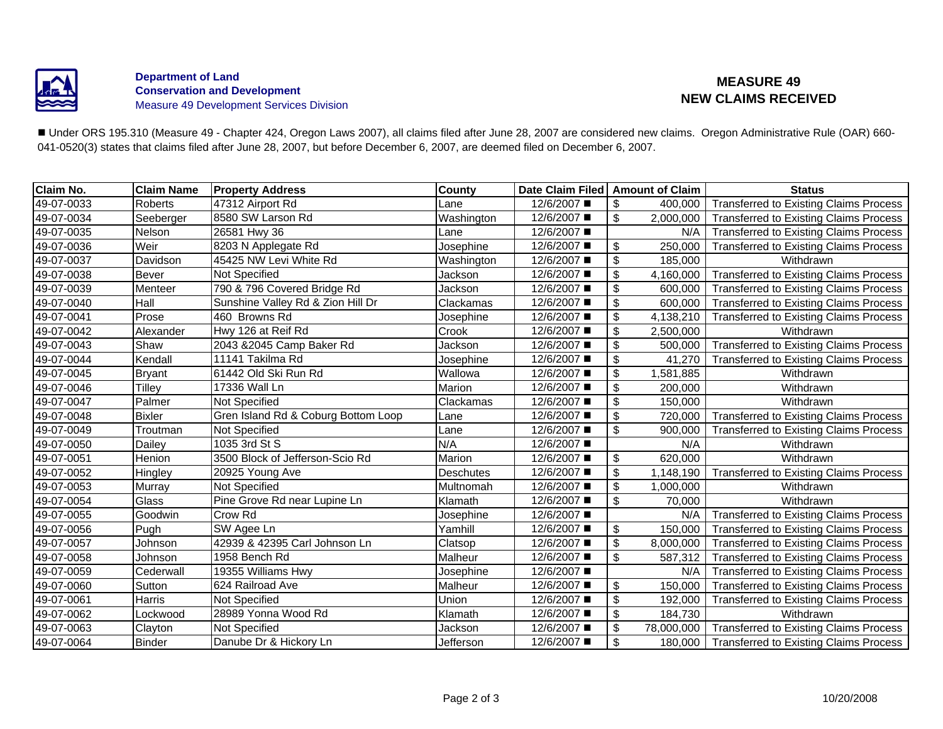

### **Department of Land Conservation and Development** Measure 49 Development Services Division

# **MEASURE 49 NEW CLAIMS RECEIVED**

■ Under ORS 195.310 (Measure 49 - Chapter 424, Oregon Laws 2007), all claims filed after June 28, 2007 are considered new claims. Oregon Administrative Rule (OAR) 660-041-0520(3) states that claims filed after June 28, 2007, but before December 6, 2007, are deemed filed on December 6, 2007.

| Claim No.  | <b>Claim Name</b> | <b>Property Address</b>             | County     | Date Claim Filed   Amount of Claim |                           |            | <b>Status</b>                                 |
|------------|-------------------|-------------------------------------|------------|------------------------------------|---------------------------|------------|-----------------------------------------------|
| 49-07-0033 | Roberts           | 47312 Airport Rd                    | Lane       | 12/6/2007 ■                        | \$                        | 400,000    | <b>Transferred to Existing Claims Process</b> |
| 49-07-0034 | Seeberger         | 8580 SW Larson Rd                   | Washington | 12/6/2007 ■                        | \$                        | 2,000,000  | <b>Transferred to Existing Claims Process</b> |
| 49-07-0035 | Nelson            | 26581 Hwy 36                        | Lane       | 12/6/2007 ■                        |                           | N/A        | <b>Transferred to Existing Claims Process</b> |
| 49-07-0036 | Weir              | 8203 N Applegate Rd                 | Josephine  | 12/6/2007 ■                        | \$                        | 250,000    | <b>Transferred to Existing Claims Process</b> |
| 49-07-0037 | Davidson          | 45425 NW Levi White Rd              | Washington | 12/6/2007 ■                        | \$                        | 185,000    | Withdrawn                                     |
| 49-07-0038 | <b>Bever</b>      | Not Specified                       | Jackson    | 12/6/2007 ■                        | \$                        | 4,160,000  | <b>Transferred to Existing Claims Process</b> |
| 49-07-0039 | Menteer           | 790 & 796 Covered Bridge Rd         | Jackson    | 12/6/2007 ■                        | \$                        | 600,000    | <b>Transferred to Existing Claims Process</b> |
| 49-07-0040 | Hall              | Sunshine Valley Rd & Zion Hill Dr   | Clackamas  | 12/6/2007 ■                        | \$                        | 600,000    | <b>Transferred to Existing Claims Process</b> |
| 49-07-0041 | Prose             | 460 Browns Rd                       | Josephine  | 12/6/2007 ■                        | \$                        | 4,138,210  | <b>Transferred to Existing Claims Process</b> |
| 49-07-0042 | Alexander         | Hwy 126 at Reif Rd                  | Crook      | 12/6/2007 ■                        | \$                        | 2,500,000  | Withdrawn                                     |
| 49-07-0043 | Shaw              | 2043 & 2045 Camp Baker Rd           | Jackson    | 12/6/2007 ■                        | \$                        | 500,000    | <b>Transferred to Existing Claims Process</b> |
| 49-07-0044 | Kendall           | 11141 Takilma Rd                    | Josephine  | 12/6/2007 ■                        | \$                        | 41,270     | <b>Transferred to Existing Claims Process</b> |
| 49-07-0045 | <b>Bryant</b>     | 61442 Old Ski Run Rd                | Wallowa    | 12/6/2007 ■                        | \$                        | 1,581,885  | Withdrawn                                     |
| 49-07-0046 | <b>Tilley</b>     | 17336 Wall Ln                       | Marion     | 12/6/2007 ■                        | \$                        | 200,000    | Withdrawn                                     |
| 49-07-0047 | Palmer            | <b>Not Specified</b>                | Clackamas  | 12/6/2007 ■                        | \$                        | 150,000    | Withdrawn                                     |
| 49-07-0048 | <b>Bixler</b>     | Gren Island Rd & Coburg Bottom Loop | Lane       | 12/6/2007 ■                        | \$                        | 720,000    | <b>Transferred to Existing Claims Process</b> |
| 49-07-0049 | Troutman          | Not Specified                       | Lane       | 12/6/2007 ■                        | \$                        | 900,000    | <b>Transferred to Existing Claims Process</b> |
| 49-07-0050 | Dailey            | 1035 3rd St S                       | N/A        | 12/6/2007 ■                        |                           | N/A        | Withdrawn                                     |
| 49-07-0051 | Henion            | 3500 Block of Jefferson-Scio Rd     | Marion     | 12/6/2007 ■                        | \$                        | 620,000    | Withdrawn                                     |
| 49-07-0052 | Hingley           | 20925 Young Ave                     | Deschutes  | 12/6/2007 ■                        | $\boldsymbol{\mathsf{S}}$ | 1,148,190  | <b>Transferred to Existing Claims Process</b> |
| 49-07-0053 | Murray            | Not Specified                       | Multnomah  | 12/6/2007 ■                        | \$                        | 1,000,000  | Withdrawn                                     |
| 49-07-0054 | Glass             | Pine Grove Rd near Lupine Ln        | Klamath    | 12/6/2007 ■                        | \$                        | 70,000     | Withdrawn                                     |
| 49-07-0055 | Goodwin           | Crow Rd                             | Josephine  | 12/6/2007 ■                        |                           | N/A        | <b>Transferred to Existing Claims Process</b> |
| 49-07-0056 | Pugh              | SW Agee Ln                          | Yamhill    | 12/6/2007 ■                        | \$                        | 150,000    | <b>Transferred to Existing Claims Process</b> |
| 49-07-0057 | Johnson           | 42939 & 42395 Carl Johnson Ln       | Clatsop    | 12/6/2007 ■                        | \$                        | 8,000,000  | <b>Transferred to Existing Claims Process</b> |
| 49-07-0058 | Johnson           | 1958 Bench Rd                       | Malheur    | 12/6/2007 ■                        | \$                        | 587,312    | <b>Transferred to Existing Claims Process</b> |
| 49-07-0059 | Cederwall         | 19355 Williams Hwy                  | Josephine  | 12/6/2007 ■                        |                           | N/A        | <b>Transferred to Existing Claims Process</b> |
| 49-07-0060 | Sutton            | 624 Railroad Ave                    | Malheur    | 12/6/2007 ■                        | \$                        | 150,000    | <b>Transferred to Existing Claims Process</b> |
| 49-07-0061 | Harris            | <b>Not Specified</b>                | Union      | 12/6/2007 ■                        | \$                        | 192,000    | <b>Transferred to Existing Claims Process</b> |
| 49-07-0062 | Lockwood          | 28989 Yonna Wood Rd                 | Klamath    | 12/6/2007 ■                        | $\overline{\mathcal{E}}$  | 184,730    | Withdrawn                                     |
| 49-07-0063 | Clayton           | Not Specified                       | Jackson    | 12/6/2007 ■                        | \$                        | 78,000,000 | <b>Transferred to Existing Claims Process</b> |
| 49-07-0064 | <b>Binder</b>     | Danube Dr & Hickory Ln              | Jefferson  | 12/6/2007 ■                        | $\boldsymbol{\mathsf{S}}$ | 180,000    | <b>Transferred to Existing Claims Process</b> |